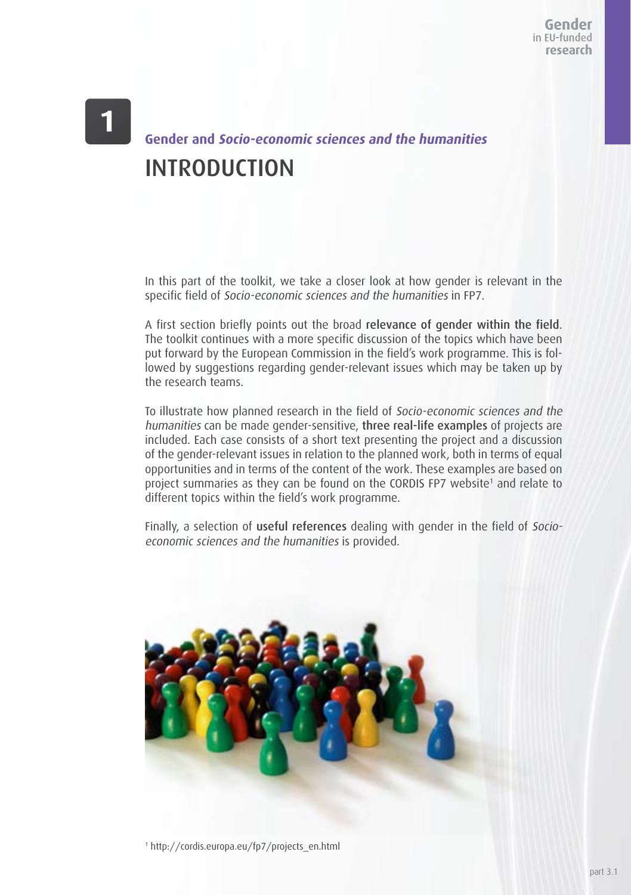# **Gender and Socio-economic sciences and the humanities** INTRODUCTION

In this part of the toolkit, we take a closer look at how gender is relevant in the specific field of Socio-economic sciences and the humanities in FP7.

A first section briefly points out the broad relevance of gender within the field. The toolkit continues with a more specific discussion of the topics which have been put forward by the European Commission in the field's work programme. This is followed by suggestions regarding gender-relevant issues which may be taken up by the research teams.

To illustrate how planned research in the field of Socio-economic sciences and the humanities can be made gender-sensitive, three real-life examples of projects are included. Each case consists of a short text presenting the project and a discussion of the gender-relevant issues in relation to the planned work, both in terms of equal opportunities and in terms of the content of the work. These examples are based on project summaries as they can be found on the CORDIS FP7 website<sup>1</sup> and relate to different topics within the field's work programme.

Finally, a selection of useful references dealing with gender in the field of Socioeconomic sciences and the humanities is provided.

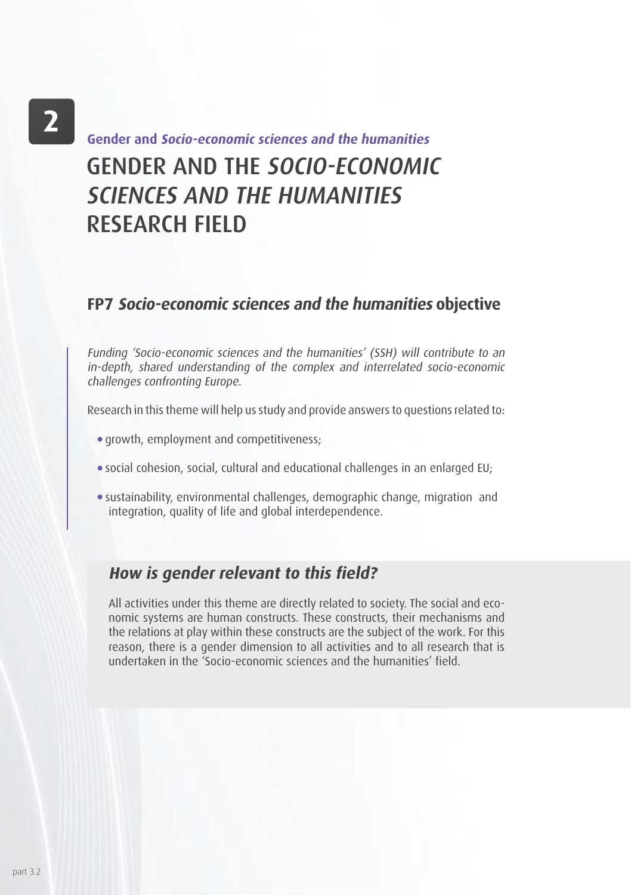# $\overline{2}$

# GENDER AND THE SOCIO-ECONOMIC SCIENCES AND THE HUMANITIES RESEARCH FIELD **Gender and Socio-economic sciences and the humanities**

### **FP7 Socio-economic sciences and the humanities objective**

Funding 'Socio-economic sciences and the humanities' (SSH) will contribute to an in-depth, shared understanding of the complex and interrelated socio-economic challenges confronting Europe.

Research in this theme will help us study and provide answers to questions related to:

- growth, employment and competitiveness;
- social cohesion, social, cultural and educational challenges in an enlarged EU;
- sustainability, environmental challenges, demographic change, migration and integration, quality of life and global interdependence.

### **How is gender relevant to this field?**

All activities under this theme are directly related to society. The social and economic systems are human constructs. These constructs, their mechanisms and the relations at play within these constructs are the subject of the work. For this reason, there is a gender dimension to all activities and to all research that is undertaken in the 'Socio-economic sciences and the humanities' field.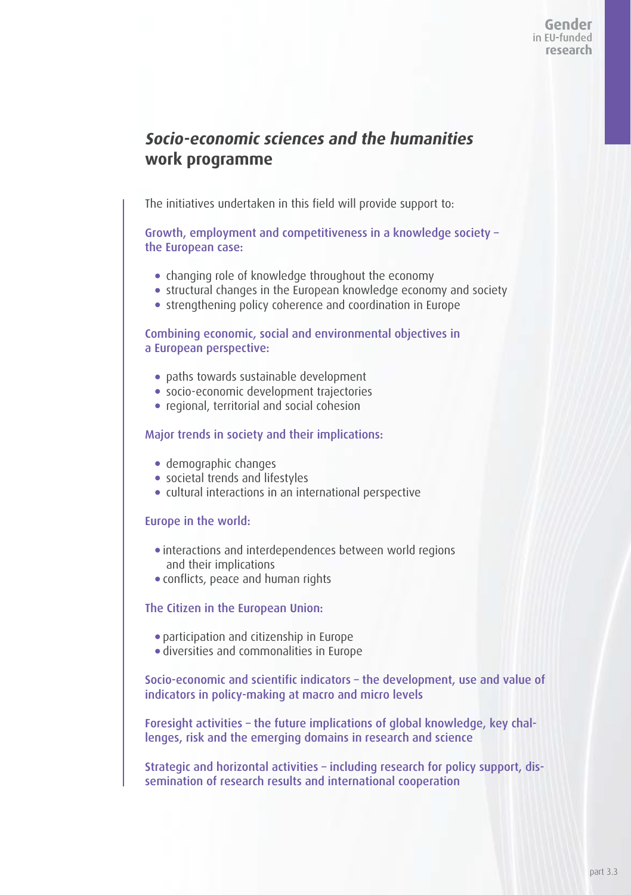### **Socio-economic sciences and the humanities work programme**

The initiatives undertaken in this field will provide support to:

Growth, employment and competitiveness in a knowledge society – the European case:

- changing role of knowledge throughout the economy
- structural changes in the European knowledge economy and society
- strengthening policy coherence and coordination in Europe

Combining economic, social and environmental objectives in a European perspective:

- paths towards sustainable development
- socio-economic development trajectories
- regional, territorial and social cohesion

#### Major trends in society and their implications:

- demographic changes
- societal trends and lifestyles
- cultural interactions in an international perspective

#### Europe in the world:

- interactions and interdependences between world regions and their implications
- conflicts, peace and human rights

#### The Citizen in the European Union:

- participation and citizenship in Europe
- diversities and commonalities in Europe

Socio-economic and scientific indicators – the development, use and value of indicators in policy-making at macro and micro levels

Foresight activities – the future implications of global knowledge, key challenges, risk and the emerging domains in research and science

Strategic and horizontal activities – including research for policy support, dissemination of research results and international cooperation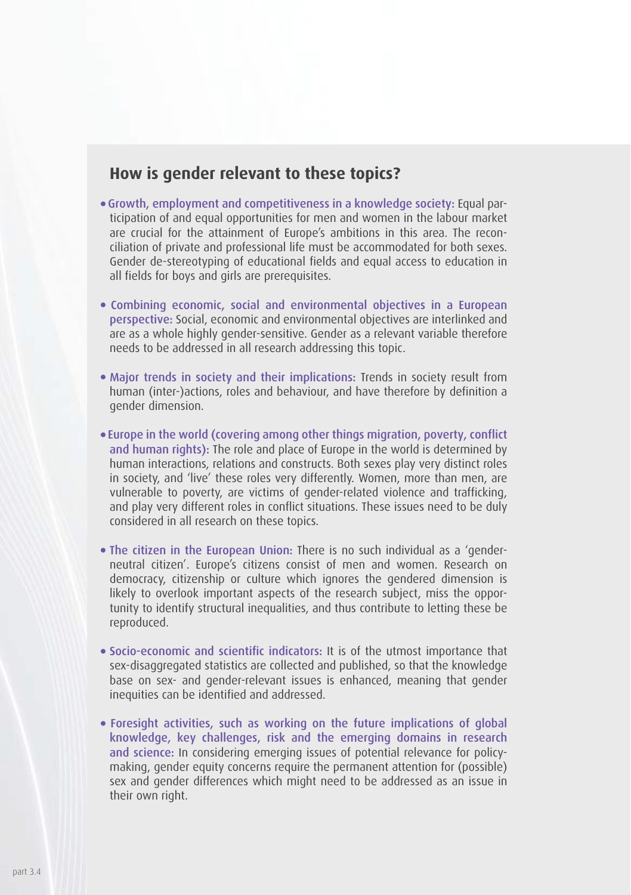### **How is gender relevant to these topics?**

- Growth, employment and competitiveness in a knowledge society: Equal participation of and equal opportunities for men and women in the labour market are crucial for the attainment of Europe's ambitions in this area. The reconciliation of private and professional life must be accommodated for both sexes. Gender de-stereotyping of educational fields and equal access to education in all fields for boys and girls are prerequisites.
- Combining economic, social and environmental objectives in a European perspective: Social, economic and environmental objectives are interlinked and are as a whole highly gender-sensitive. Gender as a relevant variable therefore needs to be addressed in all research addressing this topic.
- Major trends in society and their implications: Trends in society result from human (inter-)actions, roles and behaviour, and have therefore by definition a gender dimension.
- Europe in the world (covering among other things migration, poverty, conflict and human rights): The role and place of Europe in the world is determined by human interactions, relations and constructs. Both sexes play very distinct roles in society, and 'live' these roles very differently. Women, more than men, are vulnerable to poverty, are victims of gender-related violence and trafficking, and play very different roles in conflict situations. These issues need to be duly considered in all research on these topics.
- The citizen in the European Union: There is no such individual as a 'genderneutral citizen'. Europe's citizens consist of men and women. Research on democracy, citizenship or culture which ignores the gendered dimension is likely to overlook important aspects of the research subject, miss the opportunity to identify structural inequalities, and thus contribute to letting these be reproduced.
- Socio-economic and scientific indicators: It is of the utmost importance that sex-disaggregated statistics are collected and published, so that the knowledge base on sex- and gender-relevant issues is enhanced, meaning that gender inequities can be identified and addressed.
- Foresight activities, such as working on the future implications of global knowledge, key challenges, risk and the emerging domains in research and science: In considering emerging issues of potential relevance for policymaking, gender equity concerns require the permanent attention for (possible) sex and gender differences which might need to be addressed as an issue in their own right.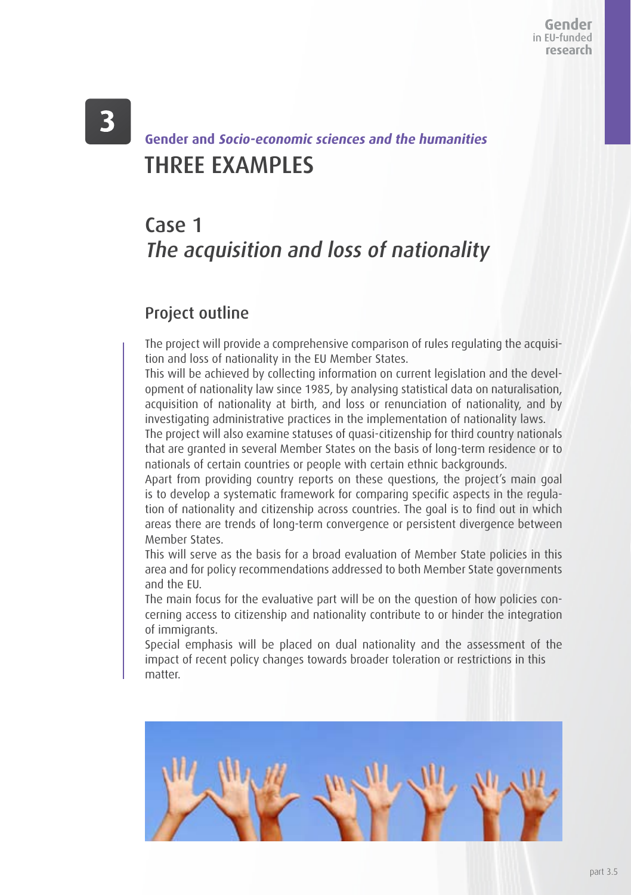# THREE EXAMPLES **Gender and Socio-economic sciences and the humanities**

# Case 1 The acquisition and loss of nationality

### Project outline

The project will provide a comprehensive comparison of rules regulating the acquisition and loss of nationality in the EU Member States.

This will be achieved by collecting information on current legislation and the development of nationality law since 1985, by analysing statistical data on naturalisation, acquisition of nationality at birth, and loss or renunciation of nationality, and by investigating administrative practices in the implementation of nationality laws.

The project will also examine statuses of quasi-citizenship for third country nationals that are granted in several Member States on the basis of long-term residence or to nationals of certain countries or people with certain ethnic backgrounds.

Apart from providing country reports on these questions, the project's main goal is to develop a systematic framework for comparing specific aspects in the regulation of nationality and citizenship across countries. The goal is to find out in which areas there are trends of long-term convergence or persistent divergence between Member States.

This will serve as the basis for a broad evaluation of Member State policies in this area and for policy recommendations addressed to both Member State governments and the EU.

The main focus for the evaluative part will be on the question of how policies concerning access to citizenship and nationality contribute to or hinder the integration of immigrants.

Special emphasis will be placed on dual nationality and the assessment of the impact of recent policy changes towards broader toleration or restrictions in this matter.

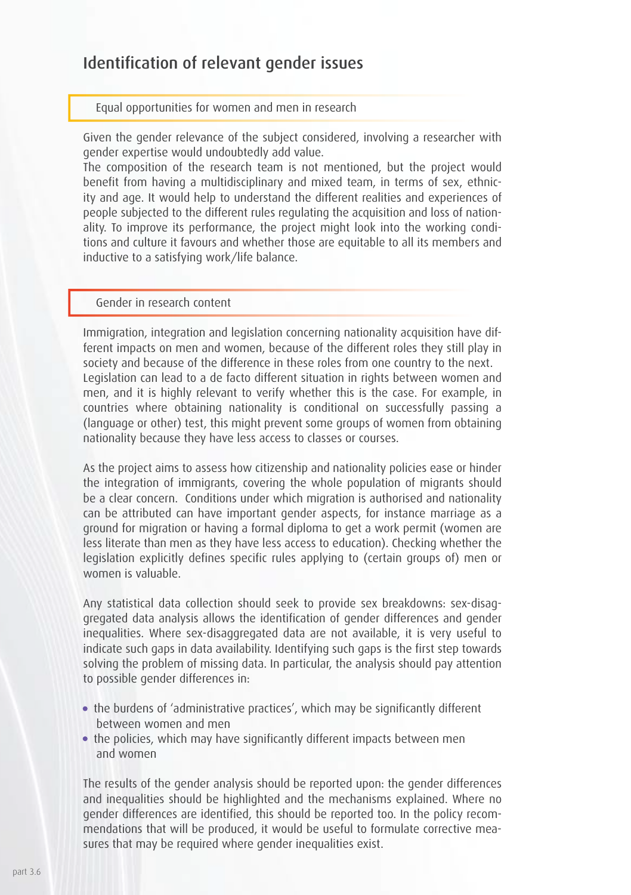### Identification of relevant gender issues

#### Equal opportunities for women and men in research

Given the gender relevance of the subject considered, involving a researcher with gender expertise would undoubtedly add value.

The composition of the research team is not mentioned, but the project would benefit from having a multidisciplinary and mixed team, in terms of sex, ethnicity and age. It would help to understand the different realities and experiences of people subjected to the different rules regulating the acquisition and loss of nationality. To improve its performance, the project might look into the working conditions and culture it favours and whether those are equitable to all its members and inductive to a satisfying work/life balance.

#### Gender in research content

Immigration, integration and legislation concerning nationality acquisition have different impacts on men and women, because of the different roles they still play in society and because of the difference in these roles from one country to the next. Legislation can lead to a de facto different situation in rights between women and men, and it is highly relevant to verify whether this is the case. For example, in countries where obtaining nationality is conditional on successfully passing a (language or other) test, this might prevent some groups of women from obtaining nationality because they have less access to classes or courses.

As the project aims to assess how citizenship and nationality policies ease or hinder the integration of immigrants, covering the whole population of migrants should be a clear concern. Conditions under which migration is authorised and nationality can be attributed can have important gender aspects, for instance marriage as a ground for migration or having a formal diploma to get a work permit (women are less literate than men as they have less access to education). Checking whether the legislation explicitly defines specific rules applying to (certain groups of) men or women is valuable.

Any statistical data collection should seek to provide sex breakdowns: sex-disaggregated data analysis allows the identification of gender differences and gender inequalities. Where sex-disaggregated data are not available, it is very useful to indicate such gaps in data availability. Identifying such gaps is the first step towards solving the problem of missing data. In particular, the analysis should pay attention to possible gender differences in:

- the burdens of 'administrative practices', which may be significantly different between women and men
- the policies, which may have significantly different impacts between men and women

The results of the gender analysis should be reported upon: the gender differences and inequalities should be highlighted and the mechanisms explained. Where no gender differences are identified, this should be reported too. In the policy recommendations that will be produced, it would be useful to formulate corrective measures that may be required where gender inequalities exist.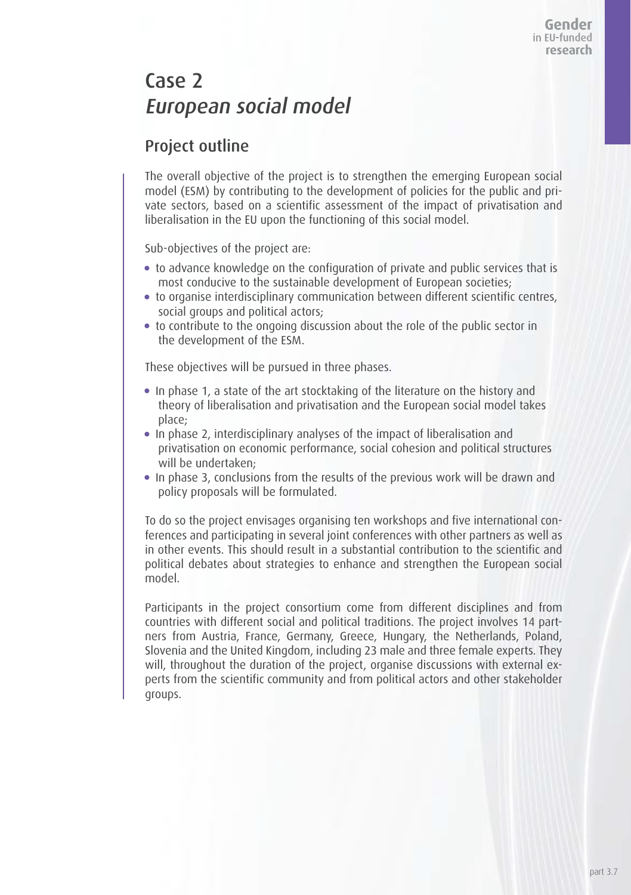# Case 2 European social model

### Project outline

The overall objective of the project is to strengthen the emerging European social model (ESM) by contributing to the development of policies for the public and private sectors, based on a scientific assessment of the impact of privatisation and liberalisation in the EU upon the functioning of this social model.

Sub-objectives of the project are:

- to advance knowledge on the configuration of private and public services that is most conducive to the sustainable development of European societies;
- to organise interdisciplinary communication between different scientific centres, social groups and political actors;
- to contribute to the ongoing discussion about the role of the public sector in the development of the ESM.

These objectives will be pursued in three phases.

- In phase 1, a state of the art stocktaking of the literature on the history and theory of liberalisation and privatisation and the European social model takes place;
- In phase 2, interdisciplinary analyses of the impact of liberalisation and privatisation on economic performance, social cohesion and political structures will be undertaken;
- In phase 3, conclusions from the results of the previous work will be drawn and policy proposals will be formulated.

To do so the project envisages organising ten workshops and five international conferences and participating in several joint conferences with other partners as well as in other events. This should result in a substantial contribution to the scientific and political debates about strategies to enhance and strengthen the European social model.

Participants in the project consortium come from different disciplines and from countries with different social and political traditions. The project involves 14 partners from Austria, France, Germany, Greece, Hungary, the Netherlands, Poland, Slovenia and the United Kingdom, including 23 male and three female experts. They will, throughout the duration of the project, organise discussions with external experts from the scientific community and from political actors and other stakeholder groups.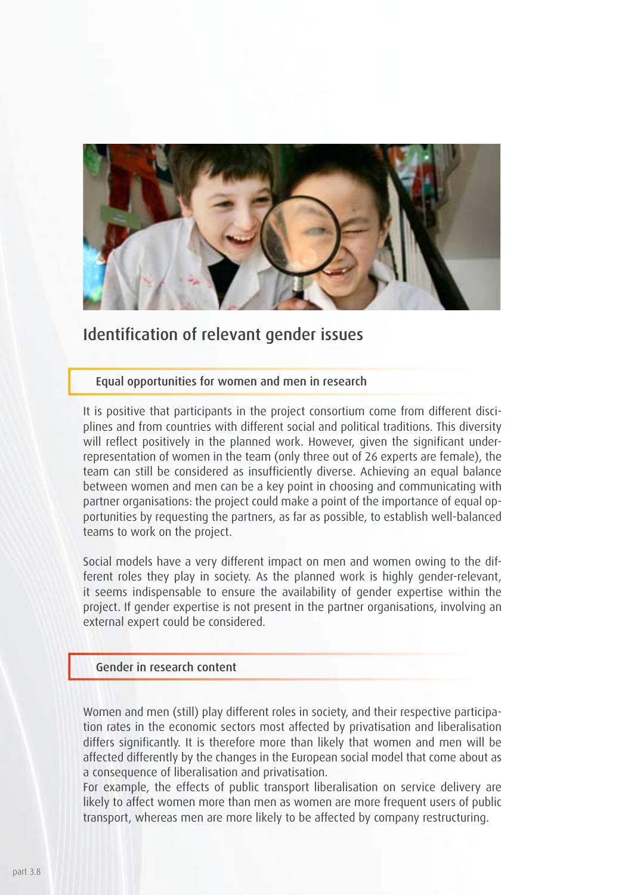

### Identification of relevant gender issues

Equal opportunities for women and men in research

It is positive that participants in the project consortium come from different disciplines and from countries with different social and political traditions. This diversity will reflect positively in the planned work. However, given the significant underrepresentation of women in the team (only three out of 26 experts are female), the team can still be considered as insufficiently diverse. Achieving an equal balance between women and men can be a key point in choosing and communicating with partner organisations: the project could make a point of the importance of equal opportunities by requesting the partners, as far as possible, to establish well-balanced teams to work on the project.

Social models have a very different impact on men and women owing to the different roles they play in society. As the planned work is highly gender-relevant, it seems indispensable to ensure the availability of gender expertise within the project. If gender expertise is not present in the partner organisations, involving an external expert could be considered.

#### Gender in research content

Women and men (still) play different roles in society, and their respective participation rates in the economic sectors most affected by privatisation and liberalisation differs significantly. It is therefore more than likely that women and men will be affected differently by the changes in the European social model that come about as a consequence of liberalisation and privatisation.

For example, the effects of public transport liberalisation on service delivery are likely to affect women more than men as women are more frequent users of public transport, whereas men are more likely to be affected by company restructuring.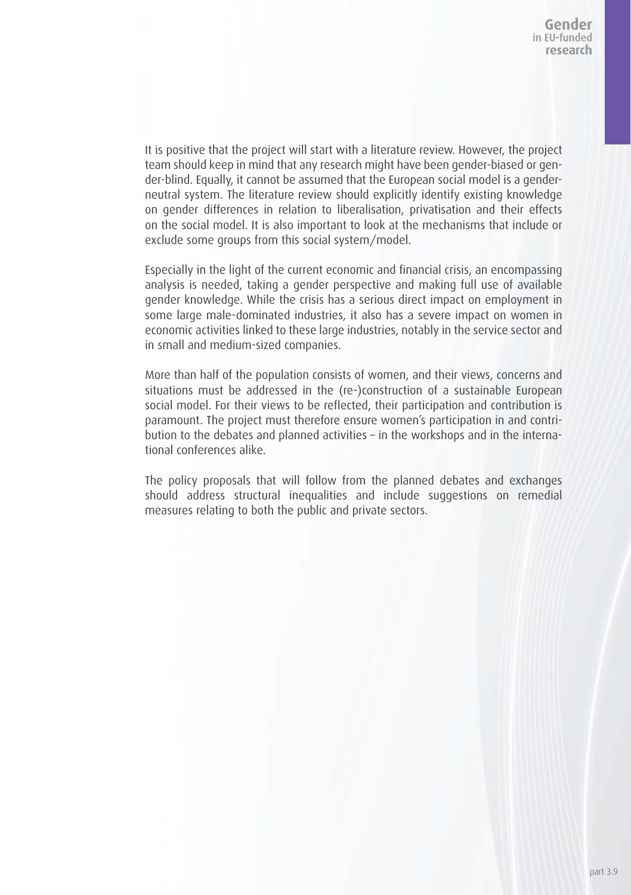It is positive that the project will start with a literature review. However, the project team should keep in mind that any research might have been gender-biased or gender-blind. Equally, it cannot be assumed that the European social model is a genderneutral system. The literature review should explicitly identify existing knowledge on gender differences in relation to liberalisation, privatisation and their effects on the social model. It is also important to look at the mechanisms that include or exclude some groups from this social system/model.

Especially in the light of the current economic and financial crisis, an encompassing analysis is needed, taking a gender perspective and making full use of available gender knowledge. While the crisis has a serious direct impact on employment in some large male-dominated industries, it also has a severe impact on women in economic activities linked to these large industries, notably in the service sector and in small and medium-sized companies.

More than half of the population consists of women, and their views, concerns and situations must be addressed in the (re-)construction of a sustainable European social model. For their views to be reflected, their participation and contribution is paramount. The project must therefore ensure women's participation in and contribution to the debates and planned activities – in the workshops and in the international conferences alike.

The policy proposals that will follow from the planned debates and exchanges should address structural inequalities and include suggestions on remedial measures relating to both the public and private sectors.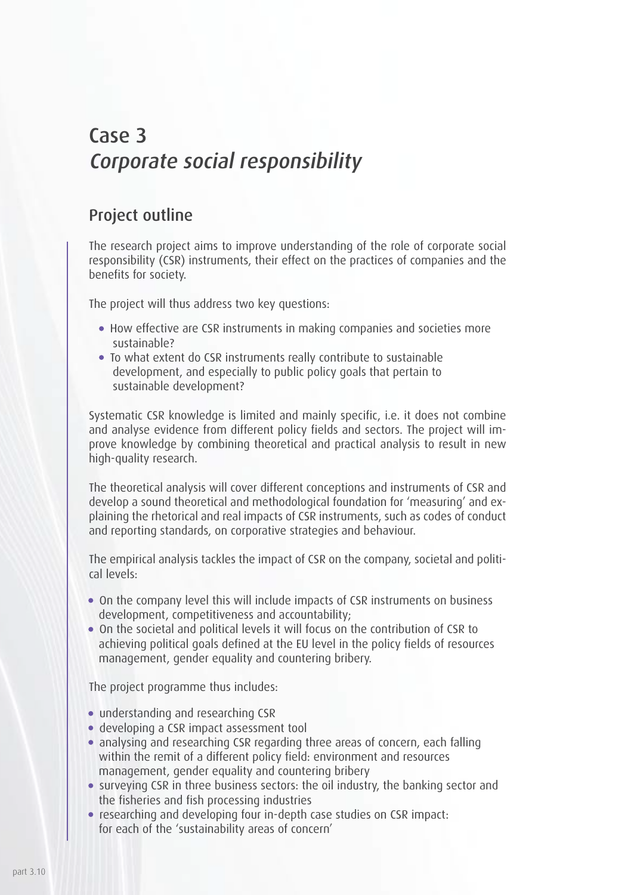# Case 3 Corporate social responsibility

### Project outline

The research project aims to improve understanding of the role of corporate social responsibility (CSR) instruments, their effect on the practices of companies and the benefits for society.

The project will thus address two key questions:

- How effective are CSR instruments in making companies and societies more sustainable?
- To what extent do CSR instruments really contribute to sustainable development, and especially to public policy goals that pertain to sustainable development?

Systematic CSR knowledge is limited and mainly specific, i.e. it does not combine and analyse evidence from different policy fields and sectors. The project will improve knowledge by combining theoretical and practical analysis to result in new high-quality research.

The theoretical analysis will cover different conceptions and instruments of CSR and develop a sound theoretical and methodological foundation for 'measuring' and explaining the rhetorical and real impacts of CSR instruments, such as codes of conduct and reporting standards, on corporative strategies and behaviour.

The empirical analysis tackles the impact of CSR on the company, societal and political levels:

- On the company level this will include impacts of CSR instruments on business development, competitiveness and accountability;
- On the societal and political levels it will focus on the contribution of CSR to achieving political goals defined at the EU level in the policy fields of resources management, gender equality and countering bribery.

The project programme thus includes:

- understanding and researching CSR
- developing a CSR impact assessment tool
- analysing and researching CSR regarding three areas of concern, each falling within the remit of a different policy field: environment and resources management, gender equality and countering bribery
- surveying CSR in three business sectors: the oil industry, the banking sector and the fisheries and fish processing industries
- researching and developing four in-depth case studies on CSR impact: for each of the 'sustainability areas of concern'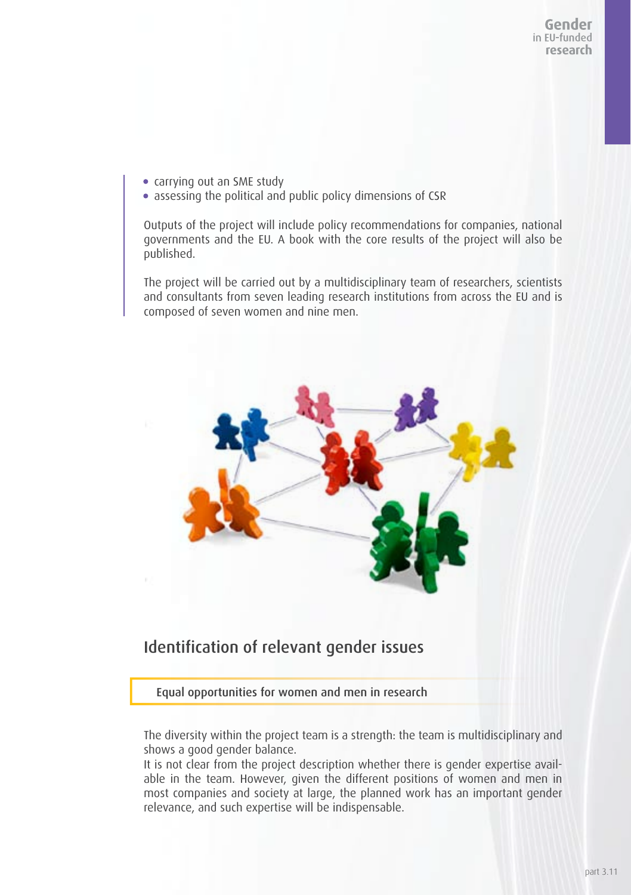- carrying out an SME study
- assessing the political and public policy dimensions of CSR

Outputs of the project will include policy recommendations for companies, national governments and the EU. A book with the core results of the project will also be published.

The project will be carried out by a multidisciplinary team of researchers, scientists and consultants from seven leading research institutions from across the EU and is composed of seven women and nine men.



### Identification of relevant gender issues

Equal opportunities for women and men in research

The diversity within the project team is a strength: the team is multidisciplinary and shows a good gender balance.

It is not clear from the project description whether there is gender expertise available in the team. However, given the different positions of women and men in most companies and society at large, the planned work has an important gender relevance, and such expertise will be indispensable.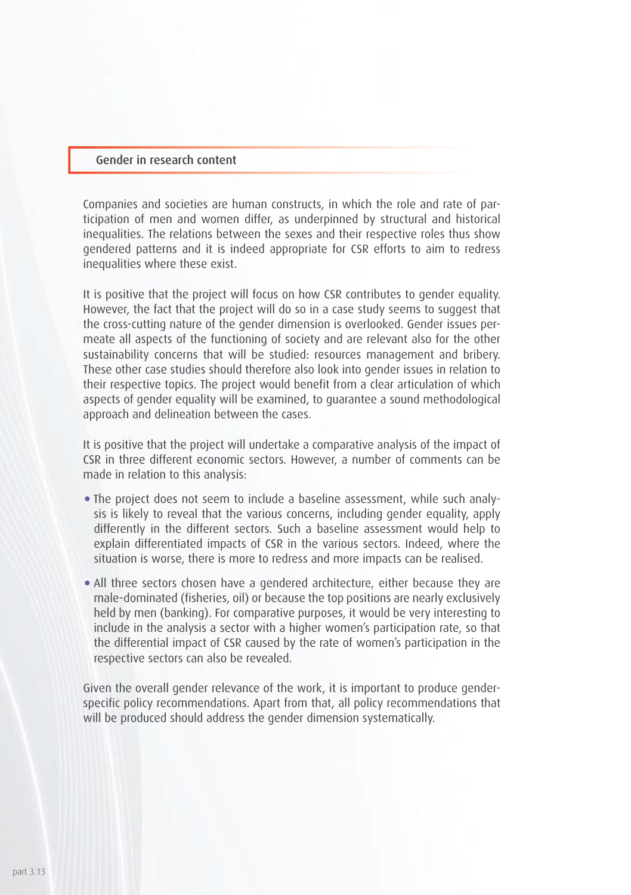#### Gender in research content

Companies and societies are human constructs, in which the role and rate of participation of men and women differ, as underpinned by structural and historical inequalities. The relations between the sexes and their respective roles thus show gendered patterns and it is indeed appropriate for CSR efforts to aim to redress inequalities where these exist.

It is positive that the project will focus on how CSR contributes to gender equality. However, the fact that the project will do so in a case study seems to suggest that the cross-cutting nature of the gender dimension is overlooked. Gender issues permeate all aspects of the functioning of society and are relevant also for the other sustainability concerns that will be studied: resources management and bribery. These other case studies should therefore also look into gender issues in relation to their respective topics. The project would benefit from a clear articulation of which aspects of gender equality will be examined, to guarantee a sound methodological approach and delineation between the cases.

It is positive that the project will undertake a comparative analysis of the impact of CSR in three different economic sectors. However, a number of comments can be made in relation to this analysis:

- The project does not seem to include a baseline assessment, while such analysis is likely to reveal that the various concerns, including gender equality, apply differently in the different sectors. Such a baseline assessment would help to explain differentiated impacts of CSR in the various sectors. Indeed, where the situation is worse, there is more to redress and more impacts can be realised.
- All three sectors chosen have a gendered architecture, either because they are male-dominated (fisheries, oil) or because the top positions are nearly exclusively held by men (banking). For comparative purposes, it would be very interesting to include in the analysis a sector with a higher women's participation rate, so that the differential impact of CSR caused by the rate of women's participation in the respective sectors can also be revealed.

Given the overall gender relevance of the work, it is important to produce genderspecific policy recommendations. Apart from that, all policy recommendations that will be produced should address the gender dimension systematically.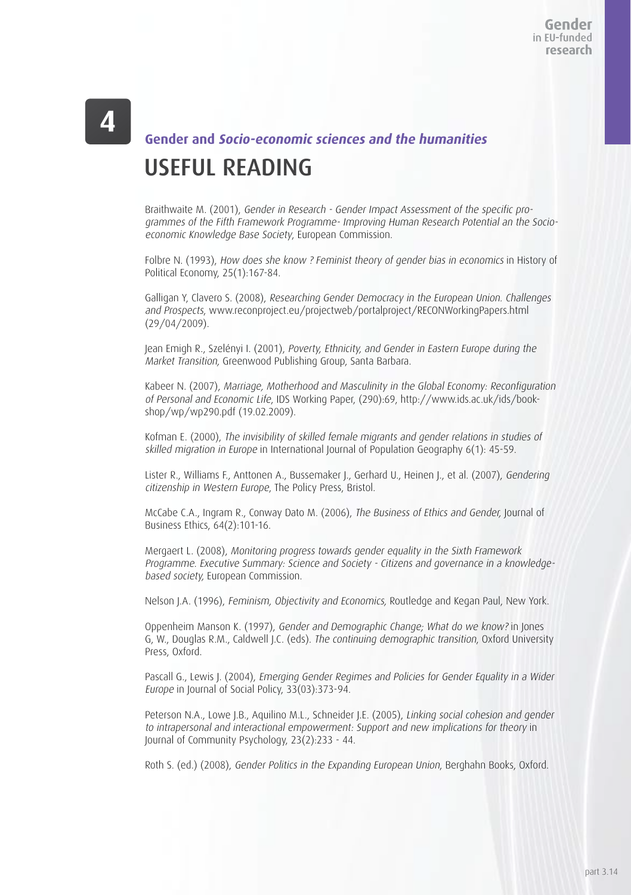# USEFUL READING **Gender and Socio-economic sciences and the humanities**

Braithwaite M. (2001), Gender in Research - Gender Impact Assessment of the specific programmes of the Fifth Framework Programme- Improving Human Research Potential an the Socioeconomic Knowledge Base Society, European Commission.

Folbre N. (1993), How does she know ? Feminist theory of gender bias in economics in History of Political Economy, 25(1):167-84.

Galligan Y, Clavero S. (2008), Researching Gender Democracy in the European Union. Challenges and Prospects, www.reconproject.eu/projectweb/portalproject/RECONWorkingPapers.html (29/04/2009).

Jean Emigh R., Szelényi I. (2001), Poverty, Ethnicity, and Gender in Eastern Europe during the Market Transition, Greenwood Publishing Group, Santa Barbara.

Kabeer N. (2007), Marriage, Motherhood and Masculinity in the Global Economy: Reconfiguration of Personal and Economic Life, IDS Working Paper, (290):69, http://www.ids.ac.uk/ids/bookshop/wp/wp290.pdf (19.02.2009).

Kofman E. (2000), The invisibility of skilled female migrants and gender relations in studies of skilled migration in Europe in International Journal of Population Geography 6(1): 45-59.

Lister R., Williams F., Anttonen A., Bussemaker J., Gerhard U., Heinen J., et al. (2007), Gendering citizenship in Western Europe, The Policy Press, Bristol.

McCabe C.A., Ingram R., Conway Dato M. (2006), The Business of Ethics and Gender, Journal of Business Ethics, 64(2):101-16.

Mergaert L. (2008), Monitoring progress towards gender equality in the Sixth Framework Programme. Executive Summary: Science and Society - Citizens and governance in a knowledgebased society, European Commission.

Nelson J.A. (1996), Feminism, Objectivity and Economics, Routledge and Kegan Paul, New York.

Oppenheim Manson K. (1997), Gender and Demographic Change; What do we know? in Jones G, W., Douglas R.M., Caldwell J.C. (eds). The continuing demographic transition, Oxford University Press, Oxford.

Pascall G., Lewis J. (2004), Emerging Gender Regimes and Policies for Gender Equality in a Wider Europe in Journal of Social Policy, 33(03):373-94.

Peterson N.A., Lowe J.B., Aquilino M.L., Schneider J.E. (2005), Linking social cohesion and gender to intrapersonal and interactional empowerment: Support and new implications for theory in Journal of Community Psychology, 23(2):233 - 44.

Roth S. (ed.) (2008), Gender Politics in the Expanding European Union, Berghahn Books, Oxford.